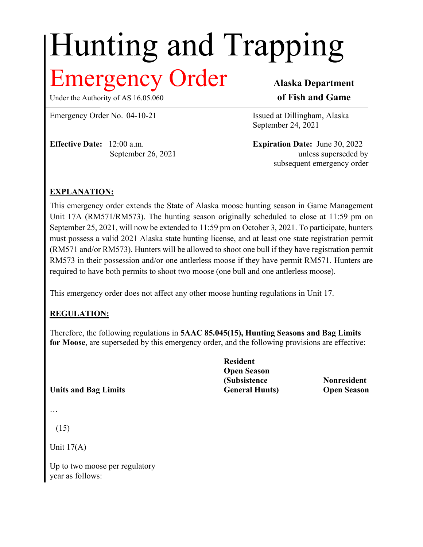# Hunting and Trapping

## **Iergency Order** Alaska Department

Under the Authority of AS 16.05.060 **of Fish and Game** 

Emergency Order No. 04-10-21 Issued at Dillingham, Alaska

**Effective Date:** 12:00 a.m. **Expiration Date:** June 30, 2022

September 24, 2021

September 26, 2021 unless superseded by subsequent emergency order

### **EXPLANATION:**

This emergency order extends the State of Alaska moose hunting season in Game Management Unit 17A (RM571/RM573). The hunting season originally scheduled to close at 11:59 pm on September 25, 2021, will now be extended to 11:59 pm on October 3, 2021. To participate, hunters must possess a valid 2021 Alaska state hunting license, and at least one state registration permit (RM571 and/or RM573). Hunters will be allowed to shoot one bull if they have registration permit RM573 in their possession and/or one antlerless moose if they have permit RM571. Hunters are required to have both permits to shoot two moose (one bull and one antlerless moose).

This emergency order does not affect any other moose hunting regulations in Unit 17.

### **REGULATION:**

Therefore, the following regulations in **5AAC 85.045(15), Hunting Seasons and Bag Limits for Moose**, are superseded by this emergency order, and the following provisions are effective:

**Units and Bag Limits General Hunts) Open Season**

…

(15)

Unit  $17(A)$ 

Up to two moose per regulatory year as follows:

**Resident Open Season (Subsistence Nonresident**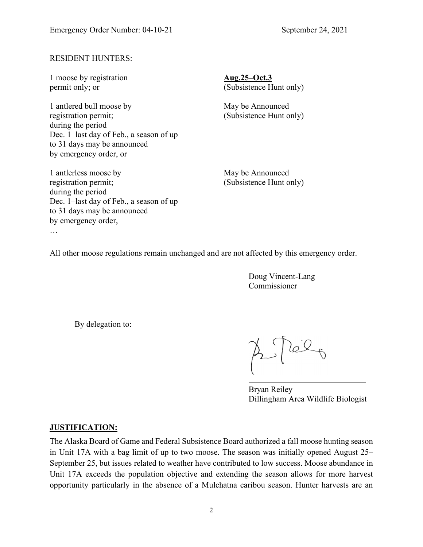#### RESIDENT HUNTERS:

1 moose by registration **Aug.25–Oct.3**

1 antlered bull moose by May be Announced registration permit; (Subsistence Hunt only) during the period Dec. 1–last day of Feb., a season of up to 31 days may be announced by emergency order, or

1 antlerless moose by May be Announced registration permit; (Subsistence Hunt only) during the period Dec. 1–last day of Feb., a season of up to 31 days may be announced by emergency order, …

permit only; or (Subsistence Hunt only)

All other moose regulations remain unchanged and are not affected by this emergency order.

Doug Vincent-Lang Commissioner

By delegation to:

 $\approx 100$ 

Bryan Reiley Dillingham Area Wildlife Biologist

#### **JUSTIFICATION:**

The Alaska Board of Game and Federal Subsistence Board authorized a fall moose hunting season in Unit 17A with a bag limit of up to two moose. The season was initially opened August 25– September 25, but issues related to weather have contributed to low success. Moose abundance in Unit 17A exceeds the population objective and extending the season allows for more harvest opportunity particularly in the absence of a Mulchatna caribou season. Hunter harvests are an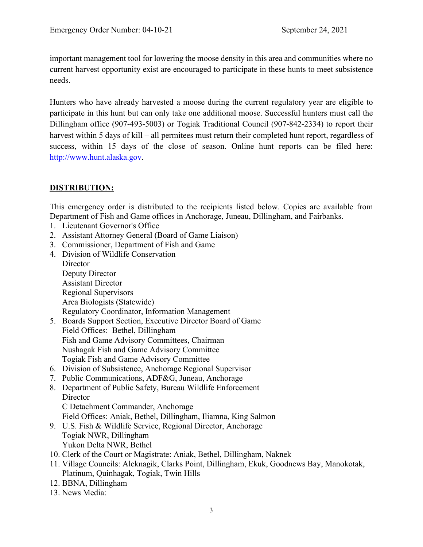important management tool for lowering the moose density in this area and communities where no current harvest opportunity exist are encouraged to participate in these hunts to meet subsistence needs.

Hunters who have already harvested a moose during the current regulatory year are eligible to participate in this hunt but can only take one additional moose. Successful hunters must call the Dillingham office (907-493-5003) or Togiak Traditional Council (907-842-2334) to report their harvest within 5 days of kill – all permitees must return their completed hunt report, regardless of success, within 15 days of the close of season. Online hunt reports can be filed here: [http://www.hunt.alaska.gov.](http://www.adfg.alaska.gov/index.cfm?adfg=hunting.main)

#### **DISTRIBUTION:**

This emergency order is distributed to the recipients listed below. Copies are available from Department of Fish and Game offices in Anchorage, Juneau, Dillingham, and Fairbanks.

- 1. Lieutenant Governor's Office
- 2. Assistant Attorney General (Board of Game Liaison)
- 3. Commissioner, Department of Fish and Game
- 4. Division of Wildlife Conservation **Director** Deputy Director Assistant Director Regional Supervisors Area Biologists (Statewide) Regulatory Coordinator, Information Management
- 5. Boards Support Section, Executive Director Board of Game Field Offices: Bethel, Dillingham Fish and Game Advisory Committees, Chairman Nushagak Fish and Game Advisory Committee Togiak Fish and Game Advisory Committee
- 6. Division of Subsistence, Anchorage Regional Supervisor
- 7. Public Communications, ADF&G, Juneau, Anchorage
- 8. Department of Public Safety, Bureau Wildlife Enforcement **Director** C Detachment Commander, Anchorage
	- Field Offices: Aniak, Bethel, Dillingham, Iliamna, King Salmon
- 9. U.S. Fish & Wildlife Service, Regional Director, Anchorage Togiak NWR, Dillingham Yukon Delta NWR, Bethel
- 10. Clerk of the Court or Magistrate: Aniak, Bethel, Dillingham, Naknek
- 11. Village Councils: Aleknagik, Clarks Point, Dillingham, Ekuk, Goodnews Bay, Manokotak, Platinum, Quinhagak, Togiak, Twin Hills
- 12. BBNA, Dillingham
- 13. News Media: